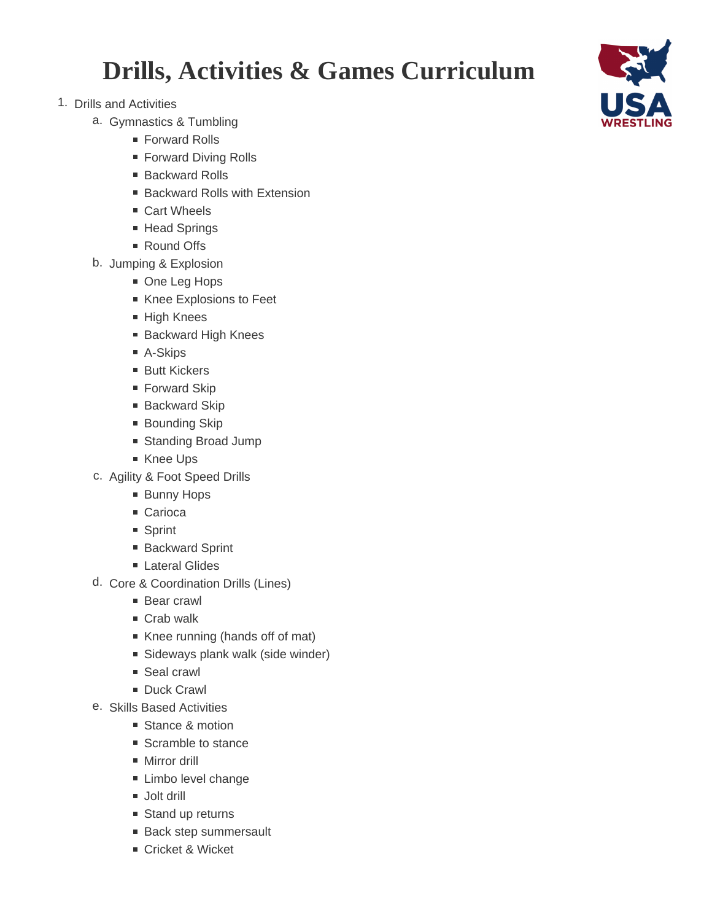## **Drills, Activities & Games Curriculum**

- 1. Drills and Activities
	- a. Gymnastics & Tumbling
		- Forward Rolls
		- Forward Diving Rolls
		- Backward Rolls
		- Backward Rolls with Extension
		- Cart Wheels
		- Head Springs
		- Round Offs
	- b. Jumping & Explosion
		- One Leg Hops
		- Knee Explosions to Feet
		- High Knees
		- Backward High Knees
		- A-Skips
		- Butt Kickers
		- Forward Skip
		- Backward Skip
		- Bounding Skip
		- Standing Broad Jump
		- Knee Ups
	- c. Agility & Foot Speed Drills
		- **Bunny Hops**
		- Carioca
		- Sprint
		- Backward Sprint
		- **Lateral Glides**
	- d. Core & Coordination Drills (Lines)
		- **Bear crawl**
		- Crab walk
		- Knee running (hands off of mat)
		- **Sideways plank walk (side winder)**
		- Seal crawl
		- Duck Crawl
	- e. Skills Based Activities
		- Stance & motion
		- Scramble to stance
		- **Mirror drill**
		- **Limbo level change**
		- Jolt drill
		- Stand up returns
		- **Back step summersault**
		- Cricket & Wicket

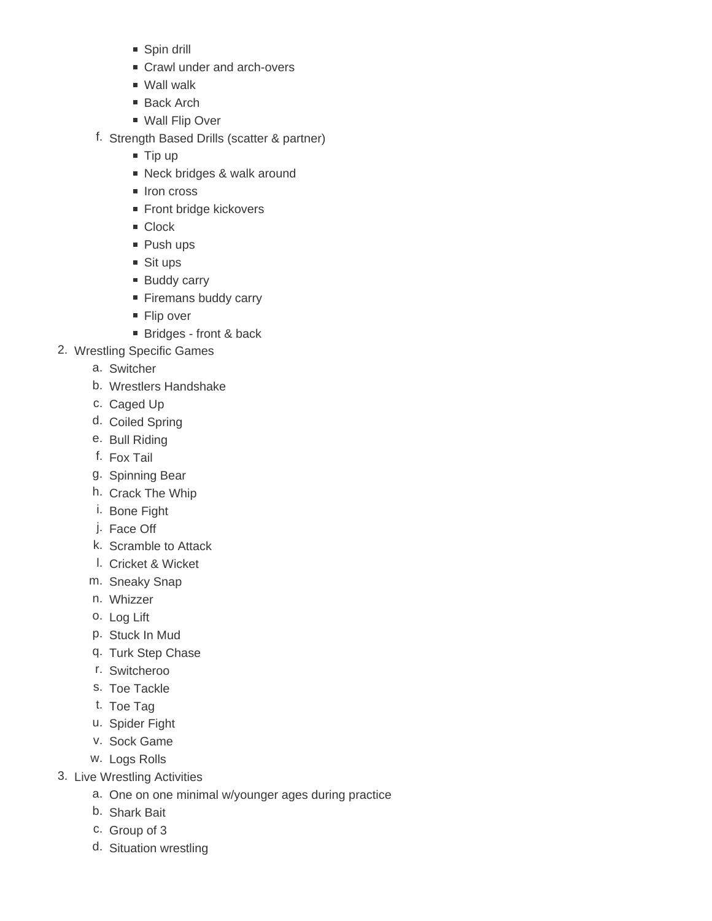- Spin drill
- Crawl under and arch-overs
- Wall walk
- Back Arch
- Wall Flip Over
- f. Strength Based Drills (scatter & partner)
	- $\blacksquare$  Tip up
	- Neck bridges & walk around
	- Iron cross
	- Front bridge kickovers
	- Clock
	- Push ups
	- Sit ups
	- **Buddy carry**
	- Firemans buddy carry
	- Flip over
	- Bridges front & back
- 2. Wrestling Specific Games
	- a. Switcher
	- b. Wrestlers Handshake
	- c. Caged Up
	- d. Coiled Spring
	- e. Bull Riding
	- f. Fox Tail
	- g. Spinning Bear
	- h. Crack The Whip
	- i. Bone Fight
	- j. Face Off
	- k. Scramble to Attack
	- l. Cricket & Wicket
	- m. Sneaky Snap
	- n. Whizzer
	- o. Log Lift
	- p. Stuck In Mud
	- q. Turk Step Chase
	- r. Switcheroo
	- s. Toe Tackle
	- t. Toe Tag
	- u. Spider Fight
	- v. Sock Game
	- w. Logs Rolls
- 3. Live Wrestling Activities
	- a. One on one minimal w/younger ages during practice
	- b. Shark Bait
	- c. Group of 3
	- d. Situation wrestling